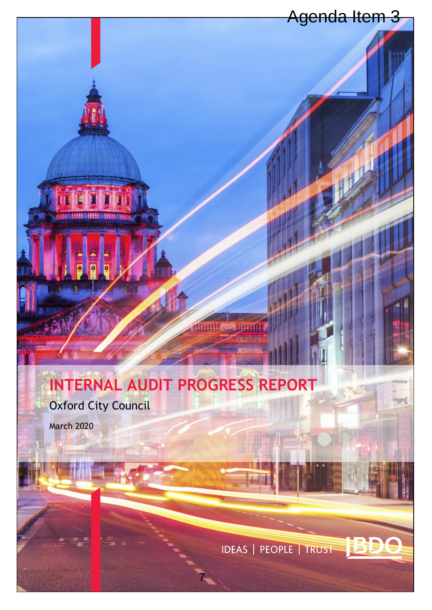## Agenda Item 3

# **INTERNAL AUDIT PROGRESS REPORT**

7

Oxford City Council

March 2020

**IDEAS | PEOPLE | TRUST**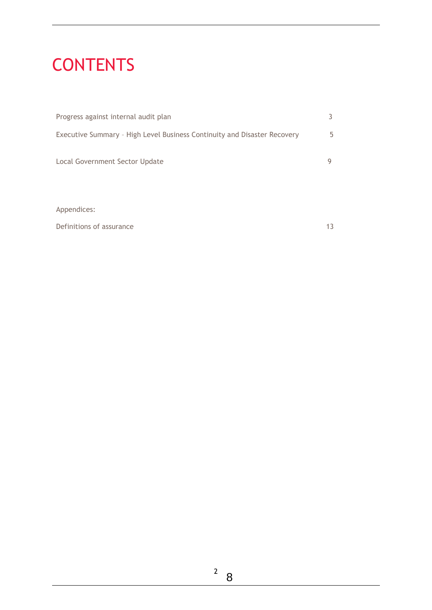# CONTENTS

| Progress against internal audit plan                                     |   |
|--------------------------------------------------------------------------|---|
| Executive Summary - High Level Business Continuity and Disaster Recovery | 5 |
| Local Government Sector Update                                           | 9 |
|                                                                          |   |

Appendices:

Definitions of assurance 13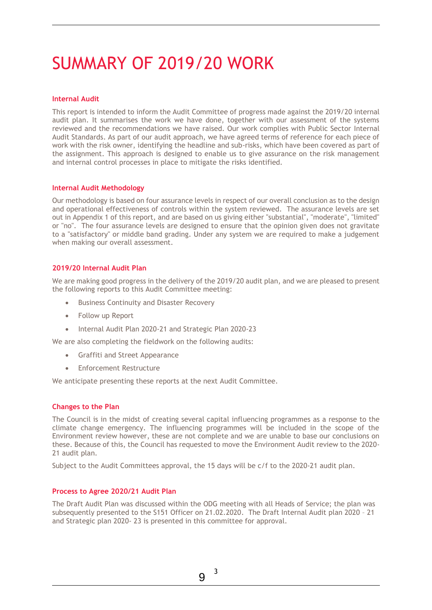# SUMMARY OF 2019/20 WORK

#### **Internal Audit**

This report is intended to inform the Audit Committee of progress made against the 2019/20 internal audit plan. It summarises the work we have done, together with our assessment of the systems reviewed and the recommendations we have raised. Our work complies with Public Sector Internal Audit Standards. As part of our audit approach, we have agreed terms of reference for each piece of work with the risk owner, identifying the headline and sub-risks, which have been covered as part of the assignment. This approach is designed to enable us to give assurance on the risk management and internal control processes in place to mitigate the risks identified.

#### **Internal Audit Methodology**

Our methodology is based on four assurance levels in respect of our overall conclusion as to the design and operational effectiveness of controls within the system reviewed. The assurance levels are set out in Appendix 1 of this report, and are based on us giving either "substantial", "moderate", "limited" or "no". The four assurance levels are designed to ensure that the opinion given does not gravitate to a "satisfactory" or middle band grading. Under any system we are required to make a judgement when making our overall assessment.

#### **2019/20 Internal Audit Plan**

We are making good progress in the delivery of the 2019/20 audit plan, and we are pleased to present the following reports to this Audit Committee meeting:

- Business Continuity and Disaster Recovery
- Follow up Report
- Internal Audit Plan 2020-21 and Strategic Plan 2020-23

We are also completing the fieldwork on the following audits:

- Graffiti and Street Appearance
- Enforcement Restructure

We anticipate presenting these reports at the next Audit Committee.

#### **Changes to the Plan**

The Council is in the midst of creating several capital influencing programmes as a response to the climate change emergency. The influencing programmes will be included in the scope of the Environment review however, these are not complete and we are unable to base our conclusions on these. Because of this, the Council has requested to move the Environment Audit review to the 2020- 21 audit plan.

Subject to the Audit Committees approval, the 15 days will be c/f to the 2020-21 audit plan.

#### **Process to Agree 2020/21 Audit Plan**

The Draft Audit Plan was discussed within the ODG meeting with all Heads of Service; the plan was subsequently presented to the S151 Officer on 21.02.2020. The Draft Internal Audit plan 2020 – 21 and Strategic plan 2020- 23 is presented in this committee for approval.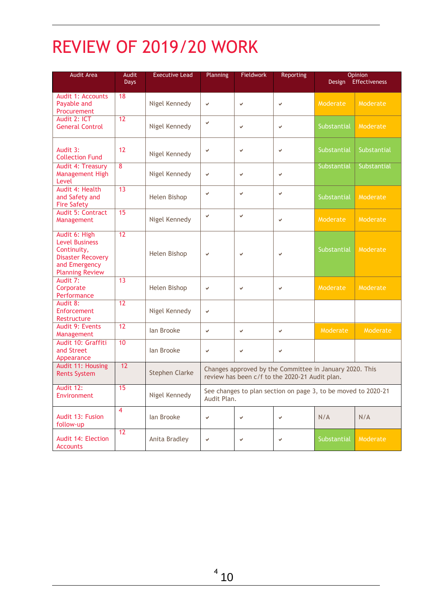# REVIEW OF 2019/20 WORK

| <b>Audit Area</b>                                                                                                            | <b>Audit</b><br><b>Days</b> | <b>Executive Lead</b> | Planning<br><b>Fieldwork</b><br>Reporting                                                                 |   | <b>Opinion</b><br>Effectiveness<br>Design |             |             |
|------------------------------------------------------------------------------------------------------------------------------|-----------------------------|-----------------------|-----------------------------------------------------------------------------------------------------------|---|-------------------------------------------|-------------|-------------|
| Audit 1: Accounts<br>Payable and<br>Procurement                                                                              | 18                          | Nigel Kennedy         | V                                                                                                         | V | $\checkmark$                              | Moderate    | Moderate    |
| Audit 2: ICT<br><b>General Control</b>                                                                                       | 12                          | Nigel Kennedy         | V                                                                                                         | V | v                                         | Substantial | Moderate    |
| Audit 3:<br><b>Collection Fund</b>                                                                                           | 12                          | Nigel Kennedy         | v                                                                                                         | V | $\checkmark$                              | Substantial | Substantial |
| <b>Audit 4: Treasury</b><br>Management High<br>Level                                                                         | 8                           | Nigel Kennedy         | v                                                                                                         | V | V                                         | Substantial | Substantial |
| Audit 4: Health<br>and Safety and<br><b>Fire Safety</b>                                                                      | 13                          | Helen Bishop          | v                                                                                                         | V | $\checkmark$                              | Substantial | Moderate    |
| Audit 5: Contract<br>Management                                                                                              | 15                          | Nigel Kennedy         | v                                                                                                         | V | v                                         | Moderate    | Moderate    |
| Audit 6: High<br><b>Level Business</b><br>Continuity,<br><b>Disaster Recovery</b><br>and Emergency<br><b>Planning Review</b> | 12                          | Helen Bishop          | v                                                                                                         | V | ✓                                         | Substantial | Moderate    |
| Audit 7:<br>Corporate<br>Performance                                                                                         | 13                          | Helen Bishop          | v                                                                                                         | V | v                                         | Moderate    | Moderate    |
| Audit 8:<br>Enforcement<br>Restructure                                                                                       | $\overline{12}$             | Nigel Kennedy         | v                                                                                                         |   |                                           |             |             |
| Audit 9: Events<br>Management                                                                                                | 12                          | lan Brooke            | V                                                                                                         | V | v                                         | Moderate    | Moderate    |
| Audit 10: Graffiti<br>and Street<br>Appearance                                                                               | 10                          | Jan Brooke            | v                                                                                                         | V | v                                         |             |             |
| Audit 11: Housing<br><b>Rents System</b>                                                                                     | 12                          | <b>Stephen Clarke</b> | Changes approved by the Committee in January 2020. This<br>review has been c/f to the 2020-21 Audit plan. |   |                                           |             |             |
| Audit 12:<br>Environment                                                                                                     | 15                          | Nigel Kennedy         | See changes to plan section on page 3, to be moved to 2020-21<br>Audit Plan.                              |   |                                           |             |             |
| Audit 13: Fusion<br>follow-up                                                                                                | $\overline{\mathbf{4}}$     | lan Brooke            | v                                                                                                         | V | v                                         | N/A         | N/A         |
| Audit 14: Election<br><b>Accounts</b>                                                                                        | 12                          | Anita Bradley         | v                                                                                                         | V | v                                         | Substantial | Moderate    |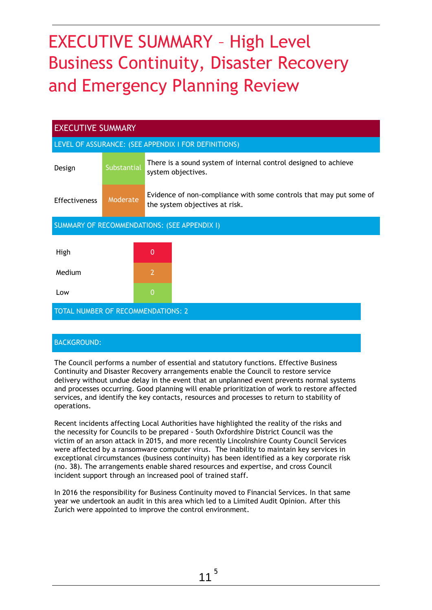# EXECUTIVE SUMMARY – High Level Business Continuity, Disaster Recovery and Emergency Planning Review

| <b>EXECUTIVE SUMMARY</b>                             |             |                |                                                                                                      |  |  |
|------------------------------------------------------|-------------|----------------|------------------------------------------------------------------------------------------------------|--|--|
| LEVEL OF ASSURANCE: (SEE APPENDIX I FOR DEFINITIONS) |             |                |                                                                                                      |  |  |
| Design                                               | Substantial |                | There is a sound system of internal control designed to achieve<br>system objectives.                |  |  |
| <b>Effectiveness</b>                                 | Moderate    |                | Evidence of non-compliance with some controls that may put some of<br>the system objectives at risk. |  |  |
| SUMMARY OF RECOMMENDATIONS: (SEE APPENDIX I)         |             |                |                                                                                                      |  |  |
| High                                                 |             | $\Omega$       |                                                                                                      |  |  |
|                                                      |             |                |                                                                                                      |  |  |
| Medium                                               |             | $\overline{2}$ |                                                                                                      |  |  |
| Low                                                  |             | $\Omega$       |                                                                                                      |  |  |
| <b>TOTAL NUMBER OF RECOMMENDATIONS: 2</b>            |             |                |                                                                                                      |  |  |

### BACKGROUND:

The Council performs a number of essential and statutory functions. Effective Business Continuity and Disaster Recovery arrangements enable the Council to restore service delivery without undue delay in the event that an unplanned event prevents normal systems and processes occurring. Good planning will enable prioritization of work to restore affected services, and identify the key contacts, resources and processes to return to stability of operations.

Recent incidents affecting Local Authorities have highlighted the reality of the risks and the necessity for Councils to be prepared - South Oxfordshire District Council was the victim of an arson attack in 2015, and more recently Lincolnshire County Council Services were affected by a ransomware computer virus. The inability to maintain key services in exceptional circumstances (business continuity) has been identified as a key corporate risk (no. 38). The arrangements enable shared resources and expertise, and cross Council incident support through an increased pool of trained staff.

In 2016 the responsibility for Business Continuity moved to Financial Services. In that same year we undertook an audit in this area which led to a Limited Audit Opinion. After this Zurich were appointed to improve the control environment.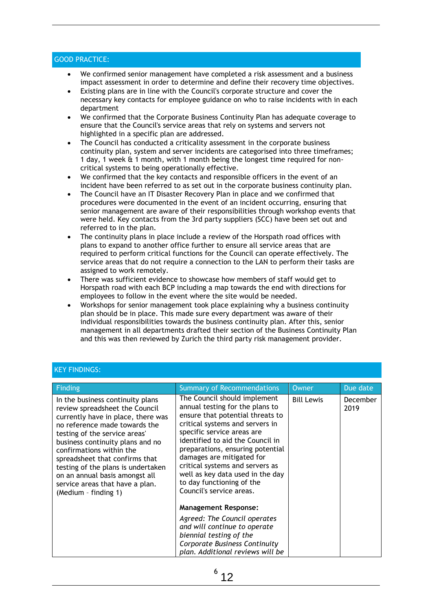### GOOD PRACTICE:

- We confirmed senior management have completed a risk assessment and a business impact assessment in order to determine and define their recovery time objectives.
- Existing plans are in line with the Council's corporate structure and cover the necessary key contacts for employee guidance on who to raise incidents with in each department
- We confirmed that the Corporate Business Continuity Plan has adequate coverage to ensure that the Council's service areas that rely on systems and servers not highlighted in a specific plan are addressed.
- The Council has conducted a criticality assessment in the corporate business continuity plan, system and server incidents are categorised into three timeframes; 1 day, 1 week & 1 month, with 1 month being the longest time required for noncritical systems to being operationally effective.
- We confirmed that the key contacts and responsible officers in the event of an incident have been referred to as set out in the corporate business continuity plan.
- The Council have an IT Disaster Recovery Plan in place and we confirmed that procedures were documented in the event of an incident occurring, ensuring that senior management are aware of their responsibilities through workshop events that were held. Key contacts from the 3rd party suppliers (SCC) have been set out and referred to in the plan.
- The continuity plans in place include a review of the Horspath road offices with plans to expand to another office further to ensure all service areas that are required to perform critical functions for the Council can operate effectively. The service areas that do not require a connection to the LAN to perform their tasks are assigned to work remotely.
- There was sufficient evidence to showcase how members of staff would get to Horspath road with each BCP including a map towards the end with directions for employees to follow in the event where the site would be needed.
- Workshops for senior management took place explaining why a business continuity plan should be in place. This made sure every department was aware of their individual responsibilities towards the business continuity plan. After this, senior management in all departments drafted their section of the Business Continuity Plan and this was then reviewed by Zurich the third party risk management provider.

### KEY FINDINGS:

| Finding                                                                                                                                                                                                                                                                                                                                                                                                         | <b>Summary of Recommendations</b>                                                                                                                                                                                                                                                                                                                                                                         | Owner             | Due date         |
|-----------------------------------------------------------------------------------------------------------------------------------------------------------------------------------------------------------------------------------------------------------------------------------------------------------------------------------------------------------------------------------------------------------------|-----------------------------------------------------------------------------------------------------------------------------------------------------------------------------------------------------------------------------------------------------------------------------------------------------------------------------------------------------------------------------------------------------------|-------------------|------------------|
| In the business continuity plans<br>review spreadsheet the Council<br>currently have in place, there was<br>no reference made towards the<br>testing of the service areas'<br>business continuity plans and no<br>confirmations within the<br>spreadsheet that confirms that<br>testing of the plans is undertaken<br>on an annual basis amongst all<br>service areas that have a plan.<br>(Medium - finding 1) | The Council should implement<br>annual testing for the plans to<br>ensure that potential threats to<br>critical systems and servers in<br>specific service areas are<br>identified to aid the Council in<br>preparations, ensuring potential<br>damages are mitigated for<br>critical systems and servers as<br>well as key data used in the day<br>to day functioning of the<br>Council's service areas. | <b>Bill Lewis</b> | December<br>2019 |
|                                                                                                                                                                                                                                                                                                                                                                                                                 | <b>Management Response:</b><br>Agreed: The Council operates<br>and will continue to operate<br>biennial testing of the<br>Corporate Business Continuity<br>plan. Additional reviews will be                                                                                                                                                                                                               |                   |                  |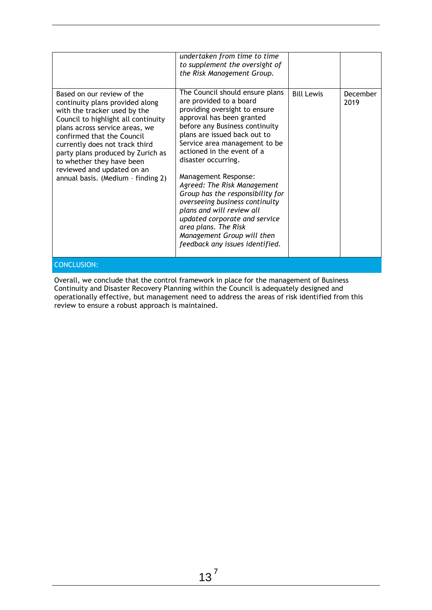Overall, we conclude that the control framework in place for the management of Business Continuity and Disaster Recovery Planning within the Council is adequately designed and operationally effective, but management need to address the areas of risk identified from this review to ensure a robust approach is maintained.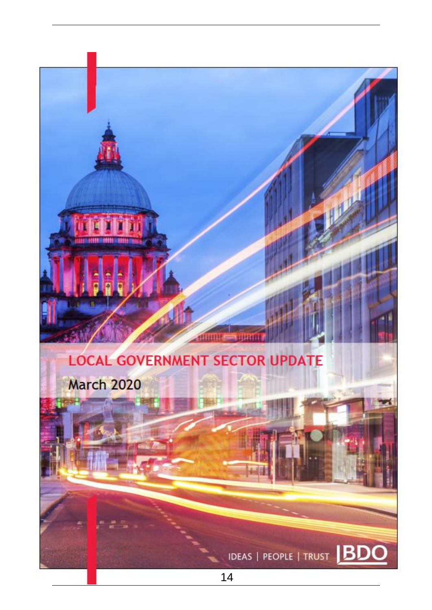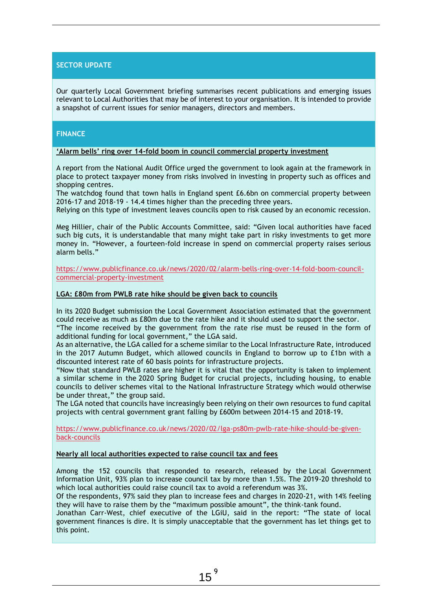### **SECTOR UPDATE**

Our quarterly Local Government briefing summarises recent publications and emerging issues relevant to Local Authorities that may be of interest to your organisation. It is intended to provide a snapshot of current issues for senior managers, directors and members.

#### **FINANCE**

#### **'Alarm bells' ring over 14-fold boom in council commercial property investment**

A [report](file://///Users/editorialmac/Downloads/Local%20authority%20investment%20in%20commercial%20property%20report.pdf) from the National Audit Office urged the government to look again at the framework in place to protect taxpayer money from risks involved in investing in property such as offices and [shopping centres.](https://www.publicfinance.co.uk/news/2019/09/council-investment-shopping-centres-predicted-reach-ps1bn-mark)

The watchdog found that town halls in England spent £6.6bn on commercial property between 2016-17 and 2018-19 - 14.4 times higher than the preceding three years.

Relying on this type of investment leaves councils open to risk caused by an economic recession.

Meg Hillier, chair of the Public Accounts Committee, said: "Given [local authorities](https://www.publicfinance.co.uk/topics/local-government) have faced such big cuts, it is understandable that many might take part in risky investments to get more money in. "However, a fourteen-fold increase in spend on commercial property raises serious alarm bells."

[https://www.publicfinance.co.uk/news/2020/02/alarm-bells-ring-over-14-fold-boom-council](https://www.publicfinance.co.uk/news/2020/02/alarm-bells-ring-over-14-fold-boom-council-commercial-property-investment)[commercial-property-investment](https://www.publicfinance.co.uk/news/2020/02/alarm-bells-ring-over-14-fold-boom-council-commercial-property-investment)

#### **LGA: £80m from PWLB rate hike should be given back to councils**

In its 2020 [Budget submission](https://www.local.gov.uk/sites/default/files/documents/LGA%202020%20Budget%20submission%20FINAL.pdf) the [Local Government Association](https://www.publicfinance.co.uk/tags/local-government-association) estimated that the government could receive as much as £80m due to the rate hike and it should used to support the sector.

"The income received by the government from the rate rise must be reused in the form of additional funding for local government," the LGA said.

As an alternative, the LGA called for a scheme similar to the Local Infrastructure Rate, introduced in the 2017 Autumn Budget, which allowed councils in England to borrow up to £1bn with a discounted interest rate of 60 basis points for infrastructure projects.

"Now that standard [PWLB rates are higher](https://www.publicfinance.co.uk/news/2020/01/pwlb-rate-hike-caused-dismay-says-lga) it is vital that the opportunity is taken to implement a similar scheme in the [2020 Spring Budget](https://www.publicfinance.co.uk/news/2020/01/javid-sets-march-budget-date) for crucial projects, including housing, to enable councils to deliver schemes vital to the National Infrastructure Strategy which would otherwise be under threat," the group said.

The LGA noted that councils have increasingly been relying on their own resources to fund capital projects with central government grant falling by £600m between 2014-15 and 2018-19.

[https://www.publicfinance.co.uk/news/2020/02/lga-ps80m-pwlb-rate-hike-should-be-given](https://www.publicfinance.co.uk/news/2020/02/lga-ps80m-pwlb-rate-hike-should-be-given-back-councils)[back-councils](https://www.publicfinance.co.uk/news/2020/02/lga-ps80m-pwlb-rate-hike-should-be-given-back-councils)

#### **Nearly all local authorities expected to raise council tax and fees**

Among the 152 councils that responded to research, released by the [Local Government](https://lgiu.org/wp-content/uploads/2020/02/LGIU-State-of-local-government-finance-2020.pdf)  [Information Unit,](https://lgiu.org/wp-content/uploads/2020/02/LGIU-State-of-local-government-finance-2020.pdf) 93% plan to increase council tax by more than 1.5%. The 2019-20 threshold to which [local authorities](https://www.publicfinance.co.uk/topics/local-government) could raise council tax to avoid a referendum was 3%.

Of the respondents, 97% said they plan to increase fees and charges in 2020-21, with 14% feeling they will have to raise them by the "maximum possible amount", the think-tank found.

Jonathan Carr-West, chief executive of the LGiU, said in the report: "The state of local government finances is dire. It is simply unacceptable that the government has let things get to this point.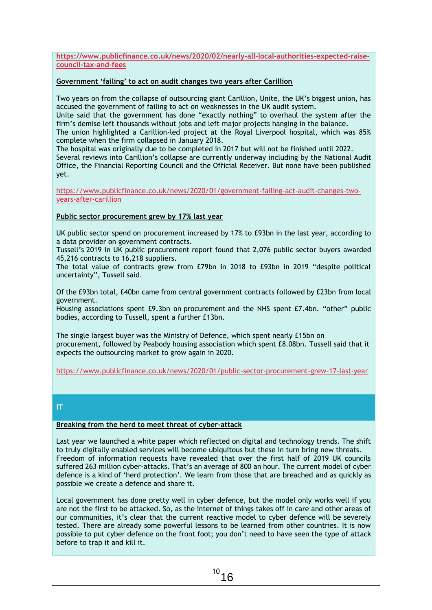**[https://www.publicfinance.co.uk/news/2020/02/nearly-all-local-authorities-expected-raise](https://www.publicfinance.co.uk/news/2020/02/nearly-all-local-authorities-expected-raise-council-tax-and-fees)[council-tax-and-fees](https://www.publicfinance.co.uk/news/2020/02/nearly-all-local-authorities-expected-raise-council-tax-and-fees)**

#### **Government 'failing' to act on audit changes two years after Carillion**

Two years on from the collapse of outsourcing giant Carillion, Unite, the UK's biggest union, has accused the government of failing to act on weaknesses in the UK audit system.

Unite said that the government has done "exactly nothing" to overhaul the system after the firm's demise left thousands without jobs and left major projects hanging in the balance.

The union highlighted a Carillion-led project at the Royal Liverpool hospital, which was 85% complete when the firm collapsed in [January 2018.](https://www.publicfinance.co.uk/news/2018/01/public-sector-looks-ways-plug-gap-left-carillion)

The hospital was originally due to be completed in 2017 but will not be finished until 2022.

Several reviews into Carillion's collapse are currently underway including by the [National Audit](https://www.publicfinance.co.uk/news/2019/08/nao-focuses-local-government-commercialisation)  [Office,](https://www.publicfinance.co.uk/news/2019/08/nao-focuses-local-government-commercialisation) the Financial Reporting Council and the Official Receiver. But none have been published yet.

[https://www.publicfinance.co.uk/news/2020/01/government-failing-act-audit-changes-two](https://www.publicfinance.co.uk/news/2020/01/government-failing-act-audit-changes-two-years-after-carillion)[years-after-carillion](https://www.publicfinance.co.uk/news/2020/01/government-failing-act-audit-changes-two-years-after-carillion)

#### **Public sector procurement grew by 17% last year**

UK public sector spend on procurement increased by 17% to £93bn in the last year, according to a data provider on government contracts.

Tussell's [2019 in UK public procurement](https://www.tussell.com/insights/public-sector-market-grows-by-17-in-2019) report found that 2,076 public sector buyers awarded 45,216 contracts to 16,218 suppliers.

The total value of contracts grew from £79bn in 2018 to £93bn in 2019 "despite political uncertainty", Tussell said.

Of the £93bn total, £40bn came from central government contracts followed by £23bn from local government.

Housing associations spent £9.3bn on [procurement](https://www.publicfinance.co.uk/tags/procurement) and the NHS spent £7.4bn. "other" public bodies, according to Tussell, spent a further £13bn.

The single largest buyer was the Ministry of Defence, which spent nearly £15bn on procurement, followed by Peabody housing association which spent £8.08bn. Tussell said that it expects the [outsourcing market](https://www.publicfinance.co.uk/tags/outsourcing) to grow again in 2020.

<https://www.publicfinance.co.uk/news/2020/01/public-sector-procurement-grew-17-last-year>

#### **IT**

#### **Breaking from the herd to meet threat of cyber-attack**

Last year we launched a white paper which reflected on digital and technology trends. The shift to truly digitally enabled services will become ubiquitous but these in turn bring new threats. Freedom of information requests have revealed that over the first half of 2019 UK councils suffered 263 million cyber-attacks. That's an average of 800 an hour. The current model of cyber defence is a kind of 'herd protection'. We learn from those that are breached and as quickly as possible we create a defence and share it.

Local government has done pretty well in cyber defence, but the model only works well if you are not the first to be attacked. So, as the internet of things takes off in care and other areas of our communities, it's clear that the current reactive model to cyber defence will be severely tested. There are already some powerful lessons to be learned from other countries. It is now possible to put cyber defence on the front foot; you don't need to have seen the type of attack before to trap it and kill it.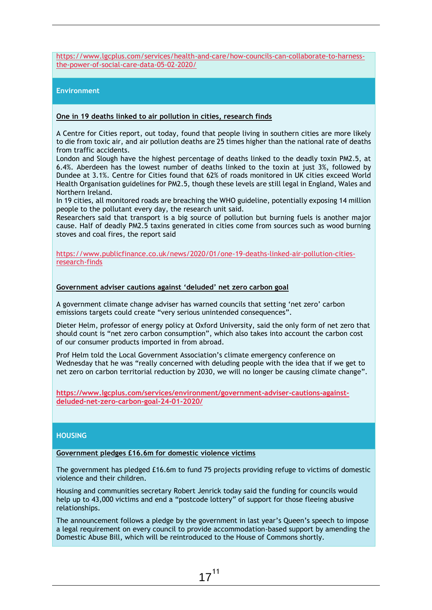[https://www.lgcplus.com/services/health-and-care/how-councils-can-collaborate-to-harness](https://www.lgcplus.com/services/health-and-care/how-councils-can-collaborate-to-harness-the-power-of-social-care-data-05-02-2020/)[the-power-of-social-care-data-05-02-2020/](https://www.lgcplus.com/services/health-and-care/how-councils-can-collaborate-to-harness-the-power-of-social-care-data-05-02-2020/)

#### **Environment**

#### **One in 19 deaths linked to air pollution in cities, research finds**

A Centre for Cities report, out today, found that people living in southern cities are more likely to die from [toxic air,](https://www.publicfinance.co.uk/news/2020/01/councils-doubt-powers-improve-air-quality-survey-reveals-0) and air pollution deaths are 25 times higher than the national rate of deaths from traffic accidents.

London and Slough have the highest percentage of deaths linked to the deadly toxin PM2.5, at 6.4%. Aberdeen has the lowest number of deaths linked to the toxin at just 3%, followed by Dundee at 3.1%. [Centre for Cities](https://www.centreforcities.org/) found that 62% of roads monitored in UK cities exceed World Health Organisation guidelines for PM2.5, though these levels are still legal in England, Wales and Northern Ireland.

In 19 cities, all monitored roads are breaching the WHO guideline, potentially exposing 14 million people to the pollutant every day, the research unit said.

Researchers said that [transport](https://www.publicfinance.co.uk/topics/transport) is a big source of pollution but burning fuels is another major cause. Half of deadly PM2.5 taxins generated in cities come from sources such as wood burning stoves and coal fires, the report said

[https://www.publicfinance.co.uk/news/2020/01/one-19-deaths-linked-air-pollution-cities](https://www.publicfinance.co.uk/news/2020/01/one-19-deaths-linked-air-pollution-cities-research-finds)[research-finds](https://www.publicfinance.co.uk/news/2020/01/one-19-deaths-linked-air-pollution-cities-research-finds)

#### **Government adviser cautions against 'deluded' net zero carbon goal**

A government climate change adviser has warned councils that setting 'net zero' carbon emissions targets could create "very serious unintended consequences".

Dieter Helm, professor of energy policy at Oxford University, said the only form of net zero that should count is "net zero carbon consumption", which also takes into account the carbon cost of our consumer products imported in from abroad.

Prof Helm told the Local Government Association's climate emergency conference on Wednesday that he was "really concerned with deluding people with the idea that if we get to net zero on carbon territorial reduction by 2030, we will no longer be causing climate change".

**[https://www.lgcplus.com/services/environment/government-adviser-cautions-against](https://www.lgcplus.com/services/environment/government-adviser-cautions-against-deluded-net-zero-carbon-goal-24-01-2020/)[deluded-net-zero-carbon-goal-24-01-2020/](https://www.lgcplus.com/services/environment/government-adviser-cautions-against-deluded-net-zero-carbon-goal-24-01-2020/)**

#### **HOUSING**

**Government pledges £16.6m for domestic violence victims**

The government has pledged £16.6m to fund 75 projects providing refuge to victims of domestic violence and their children.

Housing and communities secretary Robert Jenrick today said the funding for councils would help up to 43,000 victims and end a "postcode lottery" of support for those fleeing abusive relationships.

The announcement follows a pledge by the governm[ent in last year's Queen's speech](https://www.gov.uk/government/news/housing-secretary-confirms-new-support-for-survivors-of-domestic-violence) to impose a legal requirement on every council to provide accommodation-based support by amending the Domestic Abuse Bill, which will be reintroduced to the House of Commons shortly.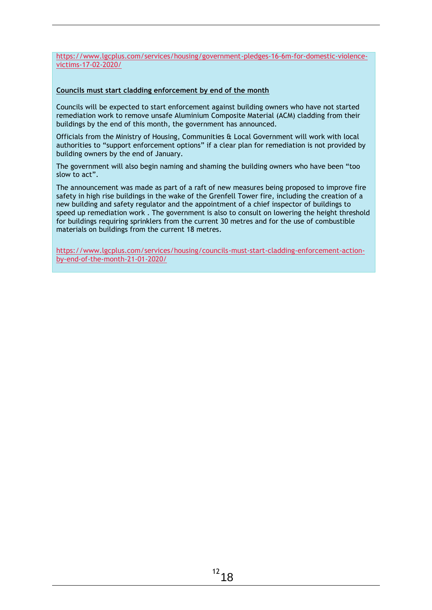[https://www.lgcplus.com/services/housing/government-pledges-16-6m-for-domestic-violence](https://www.lgcplus.com/services/housing/government-pledges-16-6m-for-domestic-violence-victims-17-02-2020/)[victims-17-02-2020/](https://www.lgcplus.com/services/housing/government-pledges-16-6m-for-domestic-violence-victims-17-02-2020/)

#### **Councils must start cladding enforcement by end of the month**

Councils will be expected to start enforcement against building owners who have not started remediation work to remove unsafe Aluminium Composite Material (ACM) cladding from their buildings by the end of this month, the government has announced.

Officials from the Ministry of Housing, Communities & Local Government will work with local authorities to "support enforcement options" if a clear plan for remediation is not provided by building owners by the end of January.

The government will also begin naming and shaming the building owners who have been "too slow to act".

The [announcement](https://www.gov.uk/government/news/new-measures-to-improve-building-safety-standards?utm_source=3198b094-35f9-408b-a060-9df5c3700dca&utm_medium=email&utm_campaign=govuk-notifications&utm_content=immediate) was made as part of a raft of new measures being proposed to improve fire safety in high rise buildings in the wake of the Grenfell Tower fire, including the creation of a new building and safety regulator and the appointment of a chief inspector of buildings to speed up remediation work . The government is also to consult on lowering the height threshold for buildings requiring sprinklers from the current 30 metres and for the use of combustible materials on buildings from the current 18 metres.

[https://www.lgcplus.com/services/housing/councils-must-start-cladding-enforcement-action](https://www.lgcplus.com/services/housing/councils-must-start-cladding-enforcement-action-by-end-of-the-month-21-01-2020/)[by-end-of-the-month-21-01-2020/](https://www.lgcplus.com/services/housing/councils-must-start-cladding-enforcement-action-by-end-of-the-month-21-01-2020/)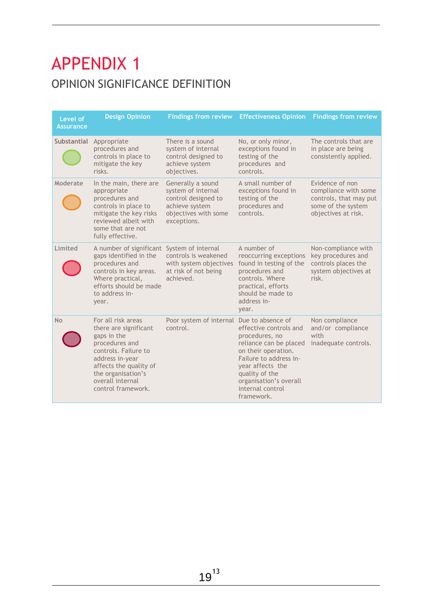### APPENDIX 1 OPINION SIGNIFICANCE DEFINITION

| Level of<br><b>Assurance</b> | <b>Design Opinion</b>                                                                                                                                                                                             | <b>Findings from review</b>                                                                                             | <b>Effectiveness Opinion</b>                                                                                                                                                                                          | <b>Findings from review</b>                                                                                    |
|------------------------------|-------------------------------------------------------------------------------------------------------------------------------------------------------------------------------------------------------------------|-------------------------------------------------------------------------------------------------------------------------|-----------------------------------------------------------------------------------------------------------------------------------------------------------------------------------------------------------------------|----------------------------------------------------------------------------------------------------------------|
| <b>Substantial</b>           | Appropriate<br>procedures and<br>controls in place to<br>mitigate the key<br>risks.                                                                                                                               | There is a sound<br>system of internal<br>control designed to<br>achieve system<br>objectives.                          | No, or only minor,<br>exceptions found in<br>testing of the<br>procedures and<br>controls.                                                                                                                            | The controls that are<br>in place are being<br>consistently applied.                                           |
| Moderate                     | In the main, there are<br>appropriate<br>procedures and<br>controls in place to<br>mitigate the key risks<br>reviewed albeit with<br>some that are not<br>fully effective.                                        | Generally a sound<br>system of internal<br>control designed to<br>achieve system<br>objectives with some<br>exceptions. | A small number of<br>exceptions found in<br>testing of the<br>procedures and<br>controls.                                                                                                                             | Evidence of non<br>compliance with some<br>controls, that may put<br>some of the system<br>objectives at risk. |
| Limited                      | A number of significant System of internal<br>gaps identified in the<br>procedures and<br>controls in key areas.<br>Where practical,<br>efforts should be made<br>to address in-<br>year.                         | controls is weakened<br>with system objectives<br>at risk of not being<br>achieved.                                     | A number of<br>reoccurring exceptions<br>found in testing of the<br>procedures and<br>controls. Where<br>practical, efforts<br>should be made to<br>address in-<br>year.                                              | Non-compliance with<br>key procedures and<br>controls places the<br>system objectives at<br>risk.              |
| <b>No</b>                    | For all risk areas<br>there are significant<br>gaps in the<br>procedures and<br>controls. Failure to<br>address in-year<br>affects the quality of<br>the organisation's<br>overall internal<br>control framework. | Poor system of internal Due to absence of<br>control.                                                                   | effective controls and<br>procedures, no<br>reliance can be placed<br>on their operation.<br>Failure to address in-<br>year affects the<br>quality of the<br>organisation's overall<br>internal control<br>framework. | Non compliance<br>and/or compliance<br>with<br>inadequate controls.                                            |